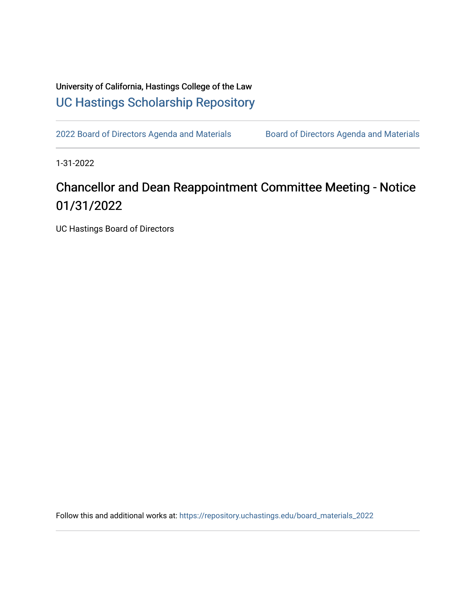University of California, Hastings College of the Law [UC Hastings Scholarship Repository](https://repository.uchastings.edu/) 

[2022 Board of Directors Agenda and Materials](https://repository.uchastings.edu/board_materials_2022) Board of Directors Agenda and Materials

1-31-2022

## Chancellor and Dean Reappointment Committee Meeting - Notice 01/31/2022

UC Hastings Board of Directors

Follow this and additional works at: [https://repository.uchastings.edu/board\\_materials\\_2022](https://repository.uchastings.edu/board_materials_2022?utm_source=repository.uchastings.edu%2Fboard_materials_2022%2F6&utm_medium=PDF&utm_campaign=PDFCoverPages)